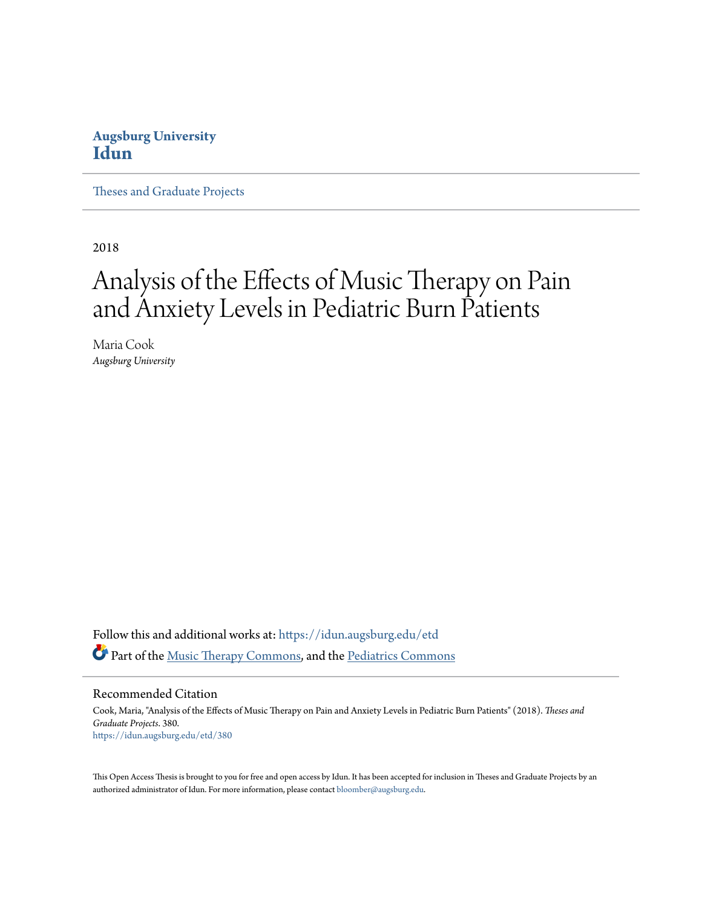## **Augsburg University [Idun](https://idun.augsburg.edu?utm_source=idun.augsburg.edu%2Fetd%2F380&utm_medium=PDF&utm_campaign=PDFCoverPages)**

[Theses and Graduate Projects](https://idun.augsburg.edu/etd?utm_source=idun.augsburg.edu%2Fetd%2F380&utm_medium=PDF&utm_campaign=PDFCoverPages)

2018

# Analysis of the Effects of Music Therapy on Pain and Anxiety Levels in Pediatric Burn Patients

Maria Cook *Augsburg University*

Follow this and additional works at: [https://idun.augsburg.edu/etd](https://idun.augsburg.edu/etd?utm_source=idun.augsburg.edu%2Fetd%2F380&utm_medium=PDF&utm_campaign=PDFCoverPages) Part of the [Music Therapy Commons,](http://network.bepress.com/hgg/discipline/1248?utm_source=idun.augsburg.edu%2Fetd%2F380&utm_medium=PDF&utm_campaign=PDFCoverPages) and the [Pediatrics Commons](http://network.bepress.com/hgg/discipline/700?utm_source=idun.augsburg.edu%2Fetd%2F380&utm_medium=PDF&utm_campaign=PDFCoverPages)

Recommended Citation

Cook, Maria, "Analysis of the Effects of Music Therapy on Pain and Anxiety Levels in Pediatric Burn Patients" (2018). *Theses and Graduate Projects*. 380. [https://idun.augsburg.edu/etd/380](https://idun.augsburg.edu/etd/380?utm_source=idun.augsburg.edu%2Fetd%2F380&utm_medium=PDF&utm_campaign=PDFCoverPages)

This Open Access Thesis is brought to you for free and open access by Idun. It has been accepted for inclusion in Theses and Graduate Projects by an authorized administrator of Idun. For more information, please contact [bloomber@augsburg.edu.](mailto:bloomber@augsburg.edu)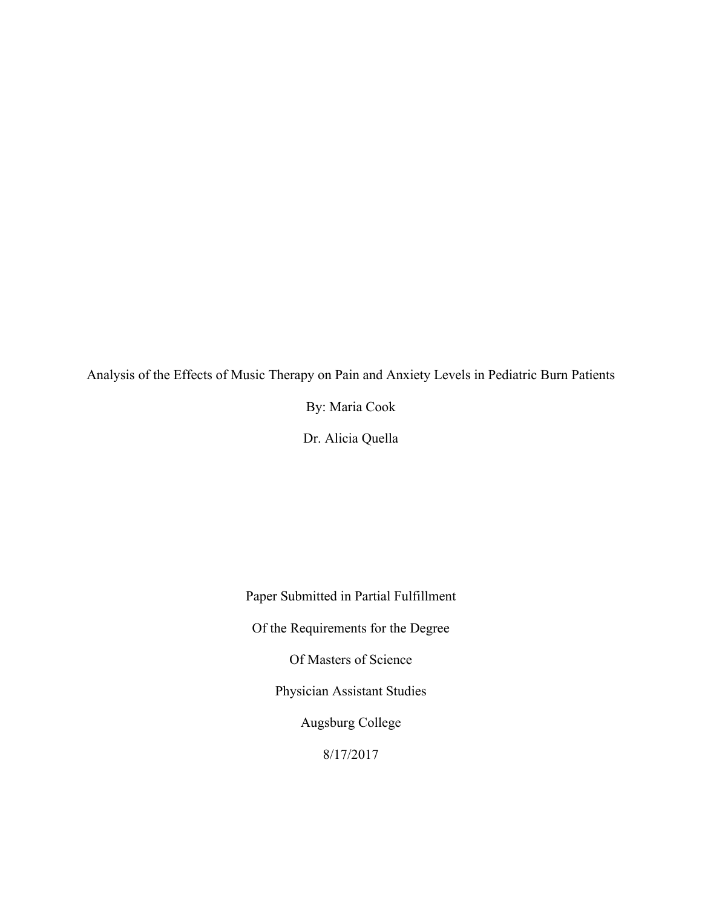Analysis of the Effects of Music Therapy on Pain and Anxiety Levels in Pediatric Burn Patients

By: Maria Cook

Dr. Alicia Quella

Paper Submitted in Partial Fulfillment Of the Requirements for the Degree Of Masters of Science Physician Assistant Studies Augsburg College 8/17/2017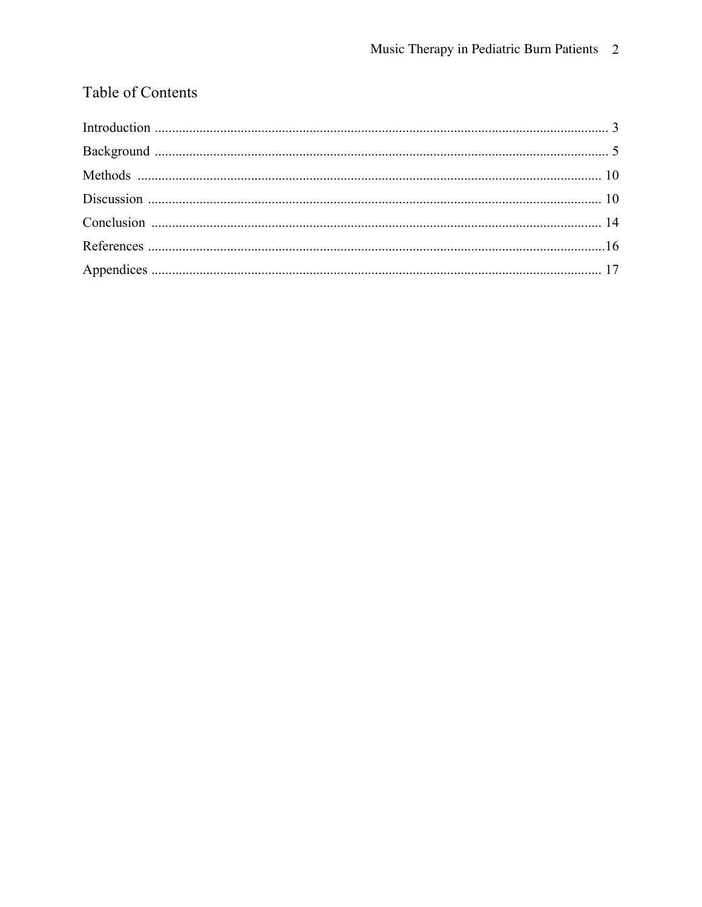# Table of Contents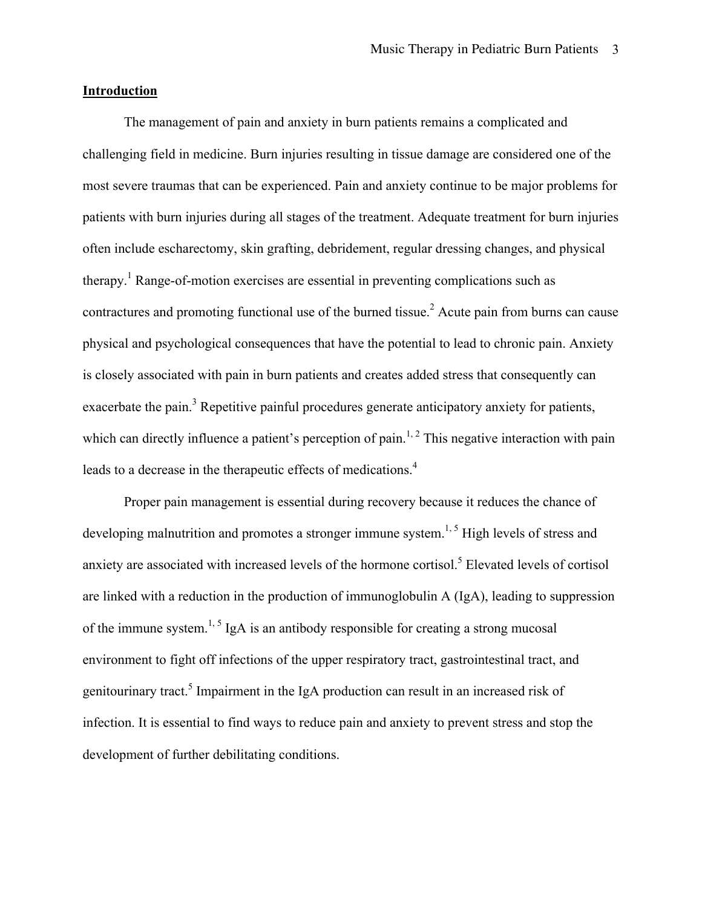#### **Introduction**

The management of pain and anxiety in burn patients remains a complicated and challenging field in medicine. Burn injuries resulting in tissue damage are considered one of the most severe traumas that can be experienced. Pain and anxiety continue to be major problems for patients with burn injuries during all stages of the treatment. Adequate treatment for burn injuries often include escharectomy, skin grafting, debridement, regular dressing changes, and physical therapy. <sup>1</sup> Range-of-motion exercises are essential in preventing complications such as contractures and promoting functional use of the burned tissue.<sup>2</sup> Acute pain from burns can cause physical and psychological consequences that have the potential to lead to chronic pain. Anxiety is closely associated with pain in burn patients and creates added stress that consequently can exacerbate the pain.<sup>3</sup> Repetitive painful procedures generate anticipatory anxiety for patients, which can directly influence a patient's perception of pain.<sup>1, 2</sup> This negative interaction with pain leads to a decrease in the therapeutic effects of medications.<sup>4</sup>

Proper pain management is essential during recovery because it reduces the chance of developing malnutrition and promotes a stronger immune system.<sup>1, 5</sup> High levels of stress and anxiety are associated with increased levels of the hormone cortisol.<sup>5</sup> Elevated levels of cortisol are linked with a reduction in the production of immunoglobulin A (IgA), leading to suppression of the immune system.<sup>1, 5</sup> IgA is an antibody responsible for creating a strong mucosal environment to fight off infections of the upper respiratory tract, gastrointestinal tract, and genitourinary tract.<sup>5</sup> Impairment in the IgA production can result in an increased risk of infection. It is essential to find ways to reduce pain and anxiety to prevent stress and stop the development of further debilitating conditions.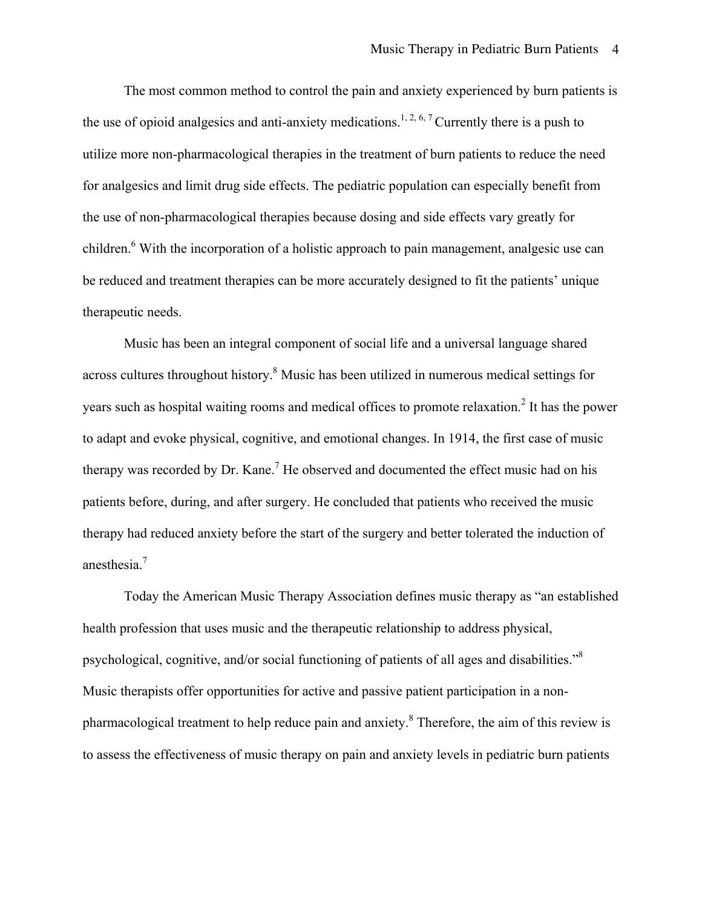The most common method to control the pain and anxiety experienced by burn patients is the use of opioid analgesics and anti-anxiety medications.<sup>1, 2, 6, 7</sup> Currently there is a push to utilize more non-pharmacological therapies in the treatment of burn patients to reduce the need for analgesics and limit drug side effects. The pediatric population can especially benefit from the use of non-pharmacological therapies because dosing and side effects vary greatly for children.<sup>6</sup> With the incorporation of a holistic approach to pain management, analgesic use can be reduced and treatment therapies can be more accurately designed to fit the patients' unique therapeutic needs.

Music has been an integral component of social life and a universal language shared across cultures throughout history. <sup>8</sup> Music has been utilized in numerous medical settings for years such as hospital waiting rooms and medical offices to promote relaxation.<sup>2</sup> It has the power to adapt and evoke physical, cognitive, and emotional changes. In 1914, the first case of music therapy was recorded by Dr. Kane.<sup>7</sup> He observed and documented the effect music had on his patients before, during, and after surgery. He concluded that patients who received the music therapy had reduced anxiety before the start of the surgery and better tolerated the induction of anesthesia.<sup>7</sup>

Today the American Music Therapy Association defines music therapy as "an established health profession that uses music and the therapeutic relationship to address physical, psychological, cognitive, and/or social functioning of patients of all ages and disabilities."<sup>8</sup> Music therapists offer opportunities for active and passive patient participation in a nonpharmacological treatment to help reduce pain and anxiety.<sup>8</sup> Therefore, the aim of this review is to assess the effectiveness of music therapy on pain and anxiety levels in pediatric burn patients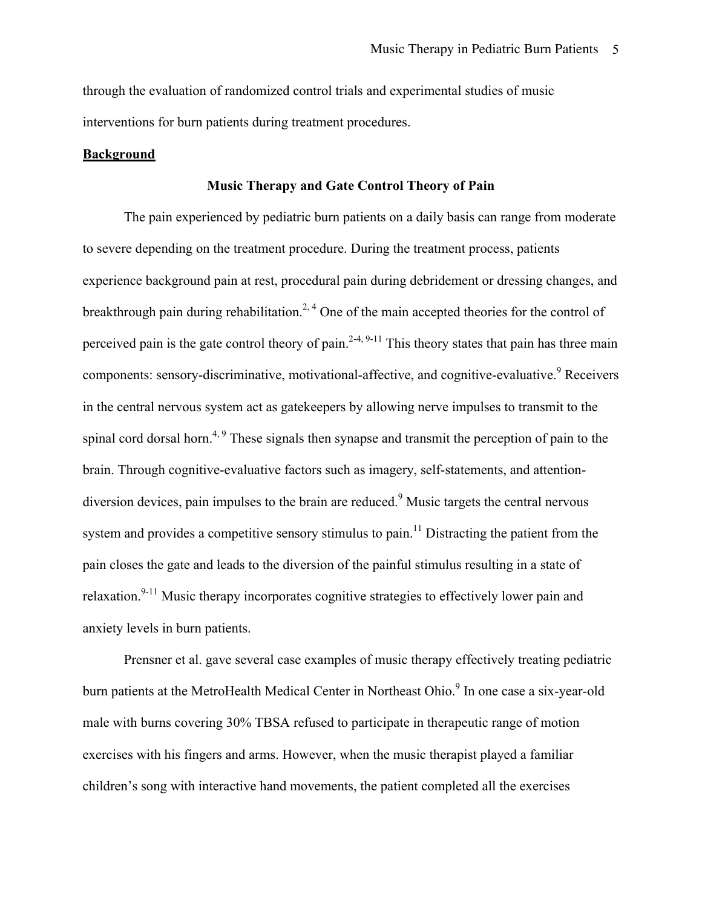through the evaluation of randomized control trials and experimental studies of music interventions for burn patients during treatment procedures.

#### **Background**

#### **Music Therapy and Gate Control Theory of Pain**

The pain experienced by pediatric burn patients on a daily basis can range from moderate to severe depending on the treatment procedure. During the treatment process, patients experience background pain at rest, procedural pain during debridement or dressing changes, and breakthrough pain during rehabilitation.<sup>2, 4</sup> One of the main accepted theories for the control of perceived pain is the gate control theory of pain.<sup>2-4, 9-11</sup> This theory states that pain has three main components: sensory-discriminative, motivational-affective, and cognitive-evaluative.<sup>9</sup> Receivers in the central nervous system act as gatekeepers by allowing nerve impulses to transmit to the spinal cord dorsal horn.<sup>4, 9</sup> These signals then synapse and transmit the perception of pain to the brain. Through cognitive-evaluative factors such as imagery, self-statements, and attentiondiversion devices, pain impulses to the brain are reduced.<sup>9</sup> Music targets the central nervous system and provides a competitive sensory stimulus to pain.<sup>11</sup> Distracting the patient from the pain closes the gate and leads to the diversion of the painful stimulus resulting in a state of relaxation.<sup>9-11</sup> Music therapy incorporates cognitive strategies to effectively lower pain and anxiety levels in burn patients.

Prensner et al. gave several case examples of music therapy effectively treating pediatric burn patients at the MetroHealth Medical Center in Northeast Ohio.<sup>9</sup> In one case a six-year-old male with burns covering 30% TBSA refused to participate in therapeutic range of motion exercises with his fingers and arms. However, when the music therapist played a familiar children's song with interactive hand movements, the patient completed all the exercises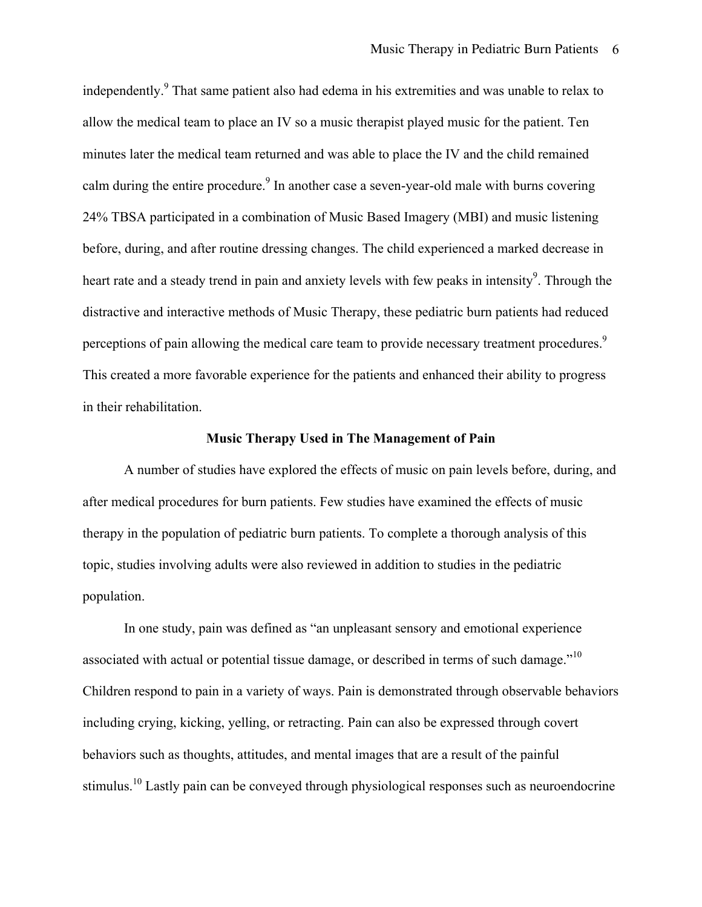independently.<sup>9</sup> That same patient also had edema in his extremities and was unable to relax to allow the medical team to place an IV so a music therapist played music for the patient. Ten minutes later the medical team returned and was able to place the IV and the child remained calm during the entire procedure.<sup>9</sup> In another case a seven-year-old male with burns covering 24% TBSA participated in a combination of Music Based Imagery (MBI) and music listening before, during, and after routine dressing changes. The child experienced a marked decrease in heart rate and a steady trend in pain and anxiety levels with few peaks in intensity<sup>9</sup>. Through the distractive and interactive methods of Music Therapy, these pediatric burn patients had reduced perceptions of pain allowing the medical care team to provide necessary treatment procedures.<sup>9</sup> This created a more favorable experience for the patients and enhanced their ability to progress in their rehabilitation.

#### **Music Therapy Used in The Management of Pain**

A number of studies have explored the effects of music on pain levels before, during, and after medical procedures for burn patients. Few studies have examined the effects of music therapy in the population of pediatric burn patients. To complete a thorough analysis of this topic, studies involving adults were also reviewed in addition to studies in the pediatric population.

In one study, pain was defined as "an unpleasant sensory and emotional experience associated with actual or potential tissue damage, or described in terms of such damage."<sup>10</sup> Children respond to pain in a variety of ways. Pain is demonstrated through observable behaviors including crying, kicking, yelling, or retracting. Pain can also be expressed through covert behaviors such as thoughts, attitudes, and mental images that are a result of the painful stimulus.<sup>10</sup> Lastly pain can be conveyed through physiological responses such as neuroendocrine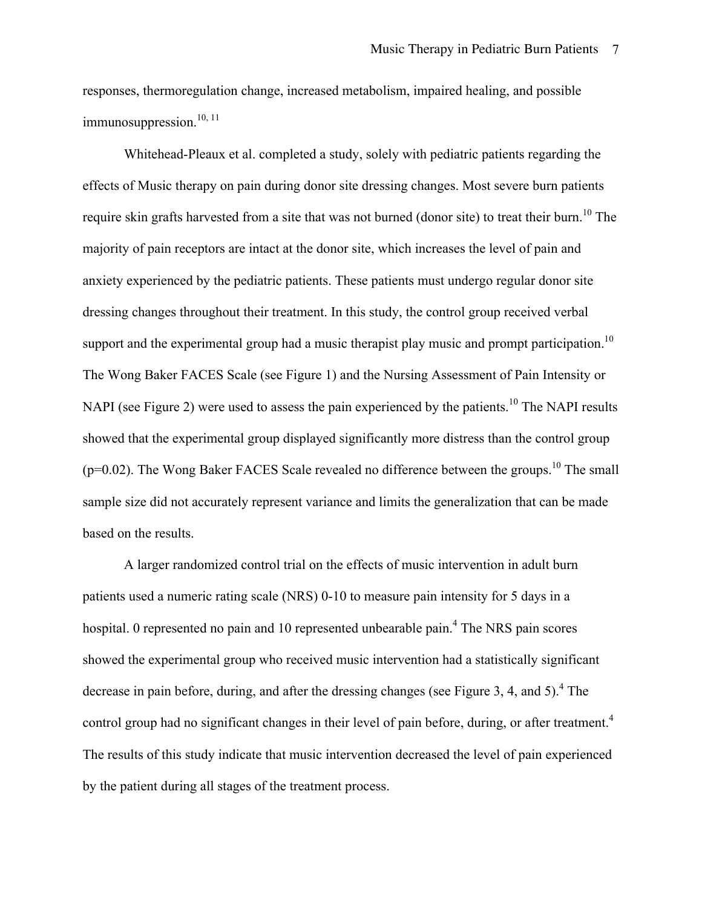responses, thermoregulation change, increased metabolism, impaired healing, and possible immunosuppression.<sup>10, 11</sup>

Whitehead-Pleaux et al. completed a study, solely with pediatric patients regarding the effects of Music therapy on pain during donor site dressing changes. Most severe burn patients require skin grafts harvested from a site that was not burned (donor site) to treat their burn.<sup>10</sup> The majority of pain receptors are intact at the donor site, which increases the level of pain and anxiety experienced by the pediatric patients. These patients must undergo regular donor site dressing changes throughout their treatment. In this study, the control group received verbal support and the experimental group had a music therapist play music and prompt participation.<sup>10</sup> The Wong Baker FACES Scale (see Figure 1) and the Nursing Assessment of Pain Intensity or NAPI (see Figure 2) were used to assess the pain experienced by the patients.<sup>10</sup> The NAPI results showed that the experimental group displayed significantly more distress than the control group  $(p=0.02)$ . The Wong Baker FACES Scale revealed no difference between the groups.<sup>10</sup> The small sample size did not accurately represent variance and limits the generalization that can be made based on the results.

A larger randomized control trial on the effects of music intervention in adult burn patients used a numeric rating scale (NRS) 0-10 to measure pain intensity for 5 days in a hospital. 0 represented no pain and 10 represented unbearable pain.<sup>4</sup> The NRS pain scores showed the experimental group who received music intervention had a statistically significant decrease in pain before, during, and after the dressing changes (see Figure 3, 4, and 5).<sup>4</sup> The control group had no significant changes in their level of pain before, during, or after treatment.<sup>4</sup> The results of this study indicate that music intervention decreased the level of pain experienced by the patient during all stages of the treatment process.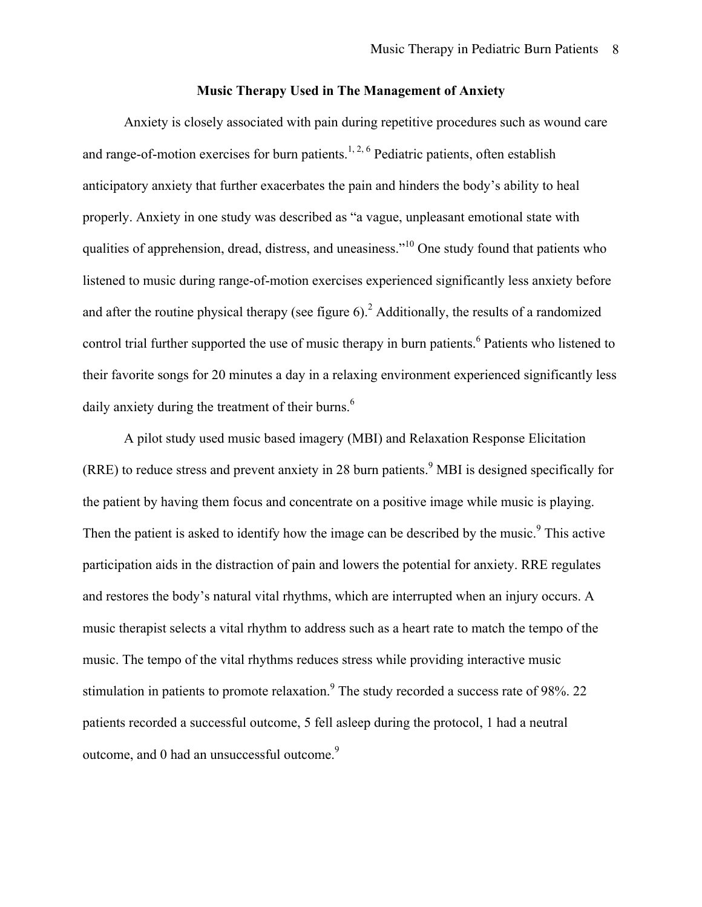#### **Music Therapy Used in The Management of Anxiety**

Anxiety is closely associated with pain during repetitive procedures such as wound care and range-of-motion exercises for burn patients.<sup>1, 2, 6</sup> Pediatric patients, often establish anticipatory anxiety that further exacerbates the pain and hinders the body's ability to heal properly. Anxiety in one study was described as "a vague, unpleasant emotional state with qualities of apprehension, dread, distress, and uneasiness."10 One study found that patients who listened to music during range-of-motion exercises experienced significantly less anxiety before and after the routine physical therapy (see figure 6).<sup>2</sup> Additionally, the results of a randomized control trial further supported the use of music therapy in burn patients.<sup>6</sup> Patients who listened to their favorite songs for 20 minutes a day in a relaxing environment experienced significantly less daily anxiety during the treatment of their burns. $<sup>6</sup>$ </sup>

A pilot study used music based imagery (MBI) and Relaxation Response Elicitation  $(RRE)$  to reduce stress and prevent anxiety in 28 burn patients.<sup>9</sup> MBI is designed specifically for the patient by having them focus and concentrate on a positive image while music is playing. Then the patient is asked to identify how the image can be described by the music.<sup>9</sup> This active participation aids in the distraction of pain and lowers the potential for anxiety. RRE regulates and restores the body's natural vital rhythms, which are interrupted when an injury occurs. A music therapist selects a vital rhythm to address such as a heart rate to match the tempo of the music. The tempo of the vital rhythms reduces stress while providing interactive music stimulation in patients to promote relaxation.<sup>9</sup> The study recorded a success rate of 98%. 22 patients recorded a successful outcome, 5 fell asleep during the protocol, 1 had a neutral outcome, and 0 had an unsuccessful outcome.<sup>9</sup>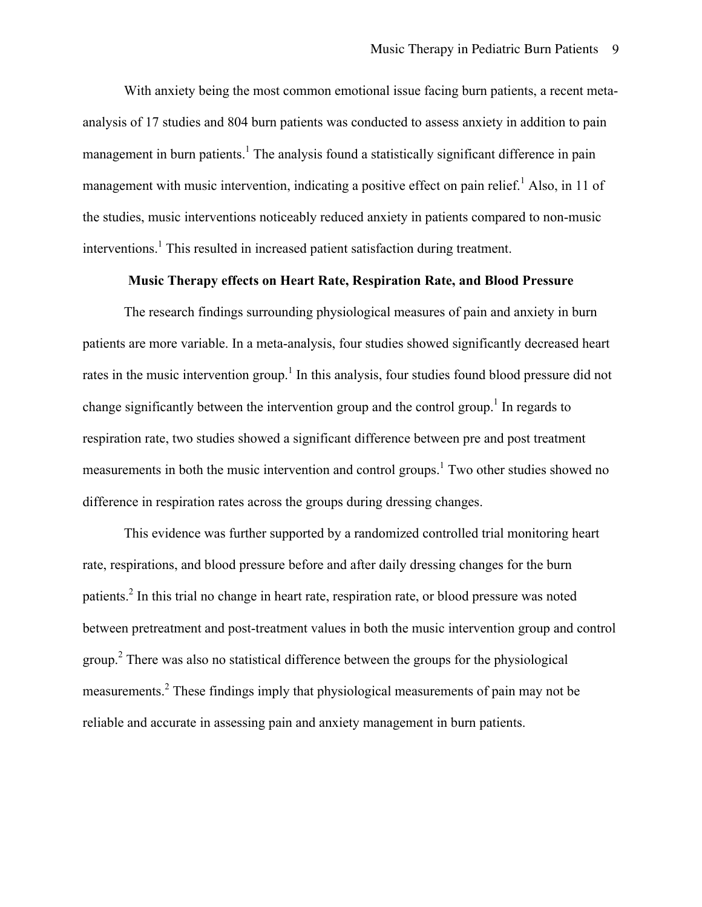With anxiety being the most common emotional issue facing burn patients, a recent metaanalysis of 17 studies and 804 burn patients was conducted to assess anxiety in addition to pain management in burn patients.<sup>1</sup> The analysis found a statistically significant difference in pain management with music intervention, indicating a positive effect on pain relief.<sup>1</sup> Also, in 11 of the studies, music interventions noticeably reduced anxiety in patients compared to non-music interventions.<sup>1</sup> This resulted in increased patient satisfaction during treatment.

#### **Music Therapy effects on Heart Rate, Respiration Rate, and Blood Pressure**

The research findings surrounding physiological measures of pain and anxiety in burn patients are more variable. In a meta-analysis, four studies showed significantly decreased heart rates in the music intervention group.<sup>1</sup> In this analysis, four studies found blood pressure did not change significantly between the intervention group and the control group.<sup>1</sup> In regards to respiration rate, two studies showed a significant difference between pre and post treatment measurements in both the music intervention and control groups.<sup>1</sup> Two other studies showed no difference in respiration rates across the groups during dressing changes.

This evidence was further supported by a randomized controlled trial monitoring heart rate, respirations, and blood pressure before and after daily dressing changes for the burn patients.<sup>2</sup> In this trial no change in heart rate, respiration rate, or blood pressure was noted between pretreatment and post-treatment values in both the music intervention group and control group.<sup>2</sup> There was also no statistical difference between the groups for the physiological measurements.<sup>2</sup> These findings imply that physiological measurements of pain may not be reliable and accurate in assessing pain and anxiety management in burn patients.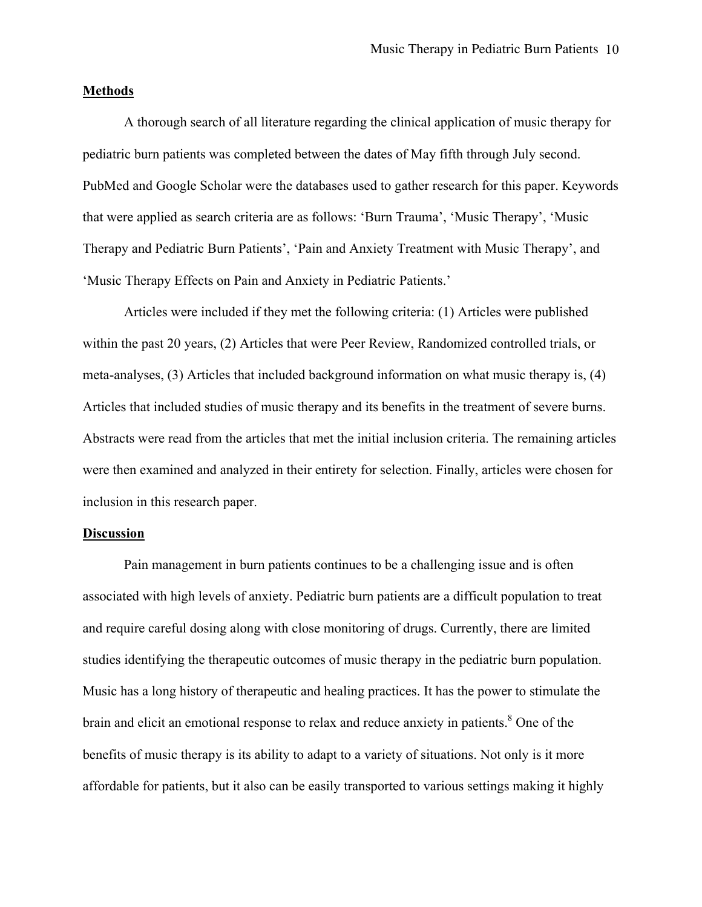#### **Methods**

A thorough search of all literature regarding the clinical application of music therapy for pediatric burn patients was completed between the dates of May fifth through July second. PubMed and Google Scholar were the databases used to gather research for this paper. Keywords that were applied as search criteria are as follows: 'Burn Trauma', 'Music Therapy', 'Music Therapy and Pediatric Burn Patients', 'Pain and Anxiety Treatment with Music Therapy', and 'Music Therapy Effects on Pain and Anxiety in Pediatric Patients.'

Articles were included if they met the following criteria: (1) Articles were published within the past 20 years, (2) Articles that were Peer Review, Randomized controlled trials, or meta-analyses, (3) Articles that included background information on what music therapy is, (4) Articles that included studies of music therapy and its benefits in the treatment of severe burns. Abstracts were read from the articles that met the initial inclusion criteria. The remaining articles were then examined and analyzed in their entirety for selection. Finally, articles were chosen for inclusion in this research paper.

#### **Discussion**

Pain management in burn patients continues to be a challenging issue and is often associated with high levels of anxiety. Pediatric burn patients are a difficult population to treat and require careful dosing along with close monitoring of drugs. Currently, there are limited studies identifying the therapeutic outcomes of music therapy in the pediatric burn population. Music has a long history of therapeutic and healing practices. It has the power to stimulate the brain and elicit an emotional response to relax and reduce anxiety in patients. $8^\circ$  One of the benefits of music therapy is its ability to adapt to a variety of situations. Not only is it more affordable for patients, but it also can be easily transported to various settings making it highly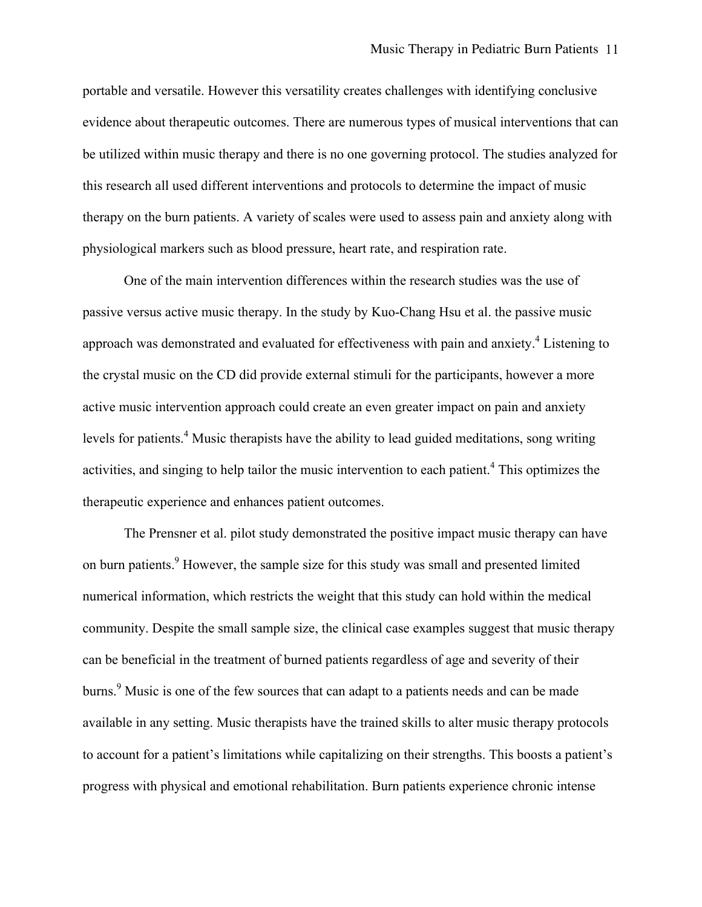portable and versatile. However this versatility creates challenges with identifying conclusive evidence about therapeutic outcomes. There are numerous types of musical interventions that can be utilized within music therapy and there is no one governing protocol. The studies analyzed for this research all used different interventions and protocols to determine the impact of music therapy on the burn patients. A variety of scales were used to assess pain and anxiety along with physiological markers such as blood pressure, heart rate, and respiration rate.

One of the main intervention differences within the research studies was the use of passive versus active music therapy. In the study by Kuo-Chang Hsu et al. the passive music approach was demonstrated and evaluated for effectiveness with pain and anxiety.<sup>4</sup> Listening to the crystal music on the CD did provide external stimuli for the participants, however a more active music intervention approach could create an even greater impact on pain and anxiety levels for patients.<sup>4</sup> Music therapists have the ability to lead guided meditations, song writing activities, and singing to help tailor the music intervention to each patient.<sup>4</sup> This optimizes the therapeutic experience and enhances patient outcomes.

The Prensner et al. pilot study demonstrated the positive impact music therapy can have on burn patients.<sup>9</sup> However, the sample size for this study was small and presented limited numerical information, which restricts the weight that this study can hold within the medical community. Despite the small sample size, the clinical case examples suggest that music therapy can be beneficial in the treatment of burned patients regardless of age and severity of their burns.<sup>9</sup> Music is one of the few sources that can adapt to a patients needs and can be made available in any setting. Music therapists have the trained skills to alter music therapy protocols to account for a patient's limitations while capitalizing on their strengths. This boosts a patient's progress with physical and emotional rehabilitation. Burn patients experience chronic intense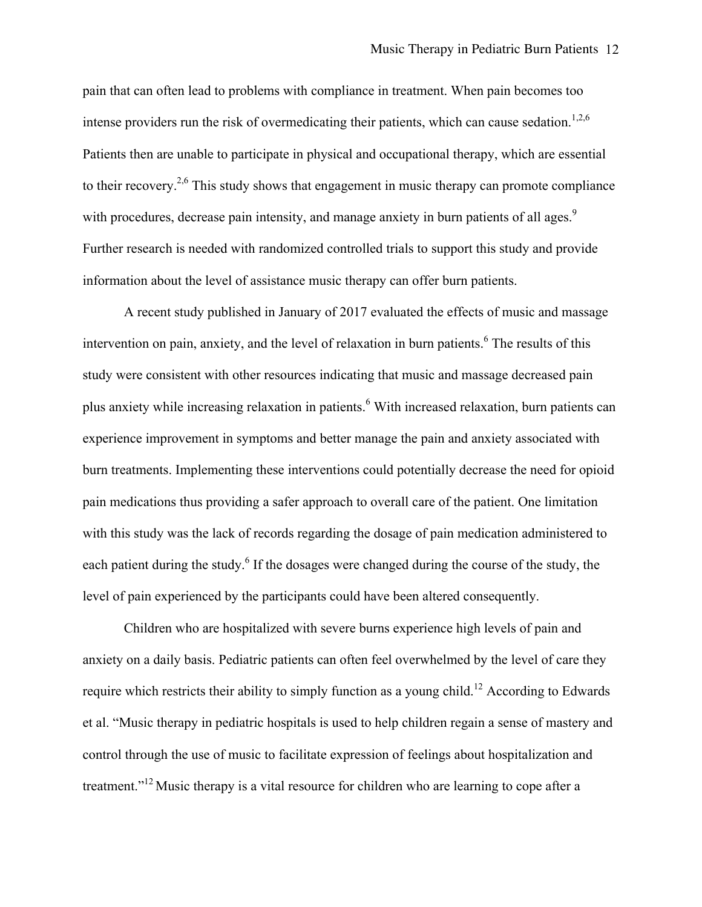pain that can often lead to problems with compliance in treatment. When pain becomes too intense providers run the risk of overmedicating their patients, which can cause sedation.<sup>1,2,6</sup> Patients then are unable to participate in physical and occupational therapy, which are essential to their recovery.<sup>2,6</sup> This study shows that engagement in music therapy can promote compliance with procedures, decrease pain intensity, and manage anxiety in burn patients of all ages.<sup>9</sup> Further research is needed with randomized controlled trials to support this study and provide information about the level of assistance music therapy can offer burn patients.

A recent study published in January of 2017 evaluated the effects of music and massage intervention on pain, anxiety, and the level of relaxation in burn patients. <sup>6</sup> The results of this study were consistent with other resources indicating that music and massage decreased pain plus anxiety while increasing relaxation in patients.<sup>6</sup> With increased relaxation, burn patients can experience improvement in symptoms and better manage the pain and anxiety associated with burn treatments. Implementing these interventions could potentially decrease the need for opioid pain medications thus providing a safer approach to overall care of the patient. One limitation with this study was the lack of records regarding the dosage of pain medication administered to each patient during the study.<sup>6</sup> If the dosages were changed during the course of the study, the level of pain experienced by the participants could have been altered consequently.

Children who are hospitalized with severe burns experience high levels of pain and anxiety on a daily basis. Pediatric patients can often feel overwhelmed by the level of care they require which restricts their ability to simply function as a young child.<sup>12</sup> According to Edwards et al. "Music therapy in pediatric hospitals is used to help children regain a sense of mastery and control through the use of music to facilitate expression of feelings about hospitalization and treatment."12 Music therapy is a vital resource for children who are learning to cope after a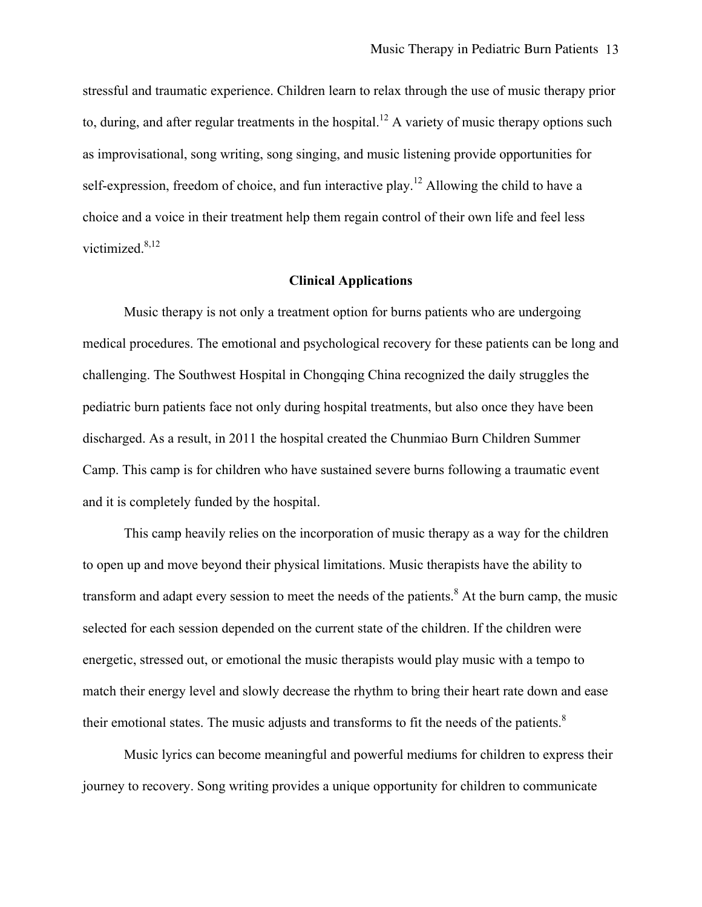stressful and traumatic experience. Children learn to relax through the use of music therapy prior to, during, and after regular treatments in the hospital.<sup>12</sup> A variety of music therapy options such as improvisational, song writing, song singing, and music listening provide opportunities for self-expression, freedom of choice, and fun interactive play.<sup>12</sup> Allowing the child to have a choice and a voice in their treatment help them regain control of their own life and feel less victimized. $8,12$ 

#### **Clinical Applications**

Music therapy is not only a treatment option for burns patients who are undergoing medical procedures. The emotional and psychological recovery for these patients can be long and challenging. The Southwest Hospital in Chongqing China recognized the daily struggles the pediatric burn patients face not only during hospital treatments, but also once they have been discharged. As a result, in 2011 the hospital created the Chunmiao Burn Children Summer Camp. This camp is for children who have sustained severe burns following a traumatic event and it is completely funded by the hospital.

This camp heavily relies on the incorporation of music therapy as a way for the children to open up and move beyond their physical limitations. Music therapists have the ability to transform and adapt every session to meet the needs of the patients.<sup>8</sup> At the burn camp, the music selected for each session depended on the current state of the children. If the children were energetic, stressed out, or emotional the music therapists would play music with a tempo to match their energy level and slowly decrease the rhythm to bring their heart rate down and ease their emotional states. The music adjusts and transforms to fit the needs of the patients.<sup>8</sup>

Music lyrics can become meaningful and powerful mediums for children to express their journey to recovery. Song writing provides a unique opportunity for children to communicate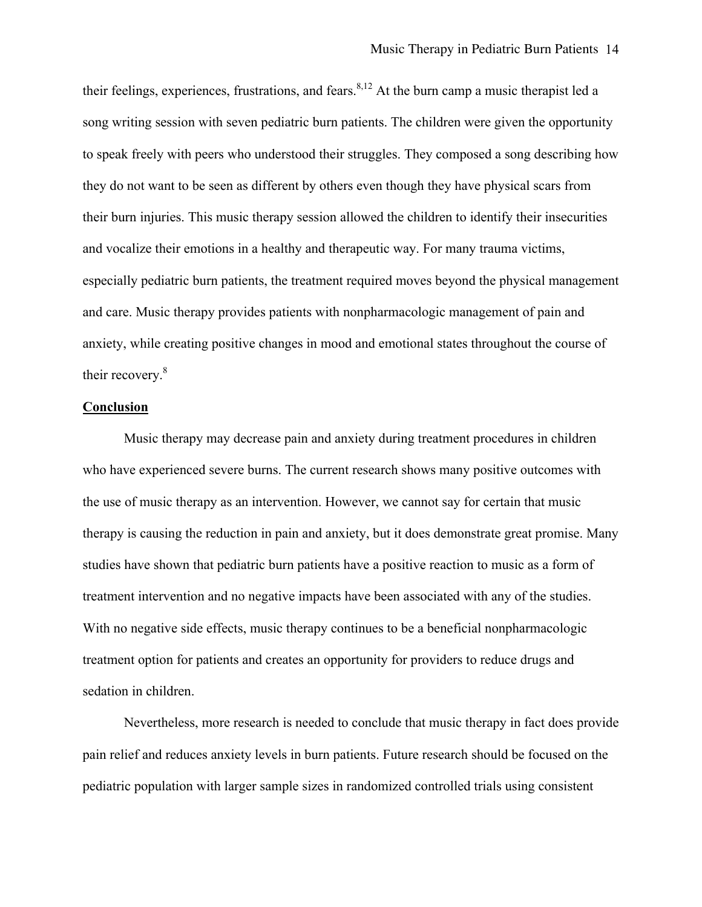their feelings, experiences, frustrations, and fears.<sup>8,12</sup> At the burn camp a music therapist led a song writing session with seven pediatric burn patients. The children were given the opportunity to speak freely with peers who understood their struggles. They composed a song describing how they do not want to be seen as different by others even though they have physical scars from their burn injuries. This music therapy session allowed the children to identify their insecurities and vocalize their emotions in a healthy and therapeutic way. For many trauma victims, especially pediatric burn patients, the treatment required moves beyond the physical management and care. Music therapy provides patients with nonpharmacologic management of pain and anxiety, while creating positive changes in mood and emotional states throughout the course of their recovery. 8

#### **Conclusion**

Music therapy may decrease pain and anxiety during treatment procedures in children who have experienced severe burns. The current research shows many positive outcomes with the use of music therapy as an intervention. However, we cannot say for certain that music therapy is causing the reduction in pain and anxiety, but it does demonstrate great promise. Many studies have shown that pediatric burn patients have a positive reaction to music as a form of treatment intervention and no negative impacts have been associated with any of the studies. With no negative side effects, music therapy continues to be a beneficial nonpharmacologic treatment option for patients and creates an opportunity for providers to reduce drugs and sedation in children.

Nevertheless, more research is needed to conclude that music therapy in fact does provide pain relief and reduces anxiety levels in burn patients. Future research should be focused on the pediatric population with larger sample sizes in randomized controlled trials using consistent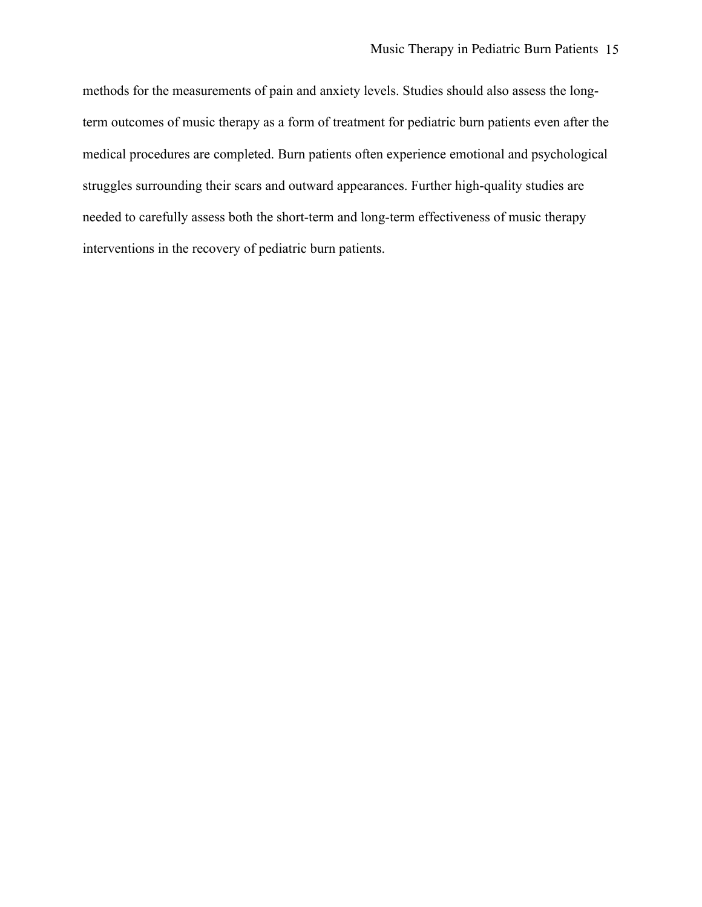methods for the measurements of pain and anxiety levels. Studies should also assess the longterm outcomes of music therapy as a form of treatment for pediatric burn patients even after the medical procedures are completed. Burn patients often experience emotional and psychological struggles surrounding their scars and outward appearances. Further high-quality studies are needed to carefully assess both the short-term and long-term effectiveness of music therapy interventions in the recovery of pediatric burn patients.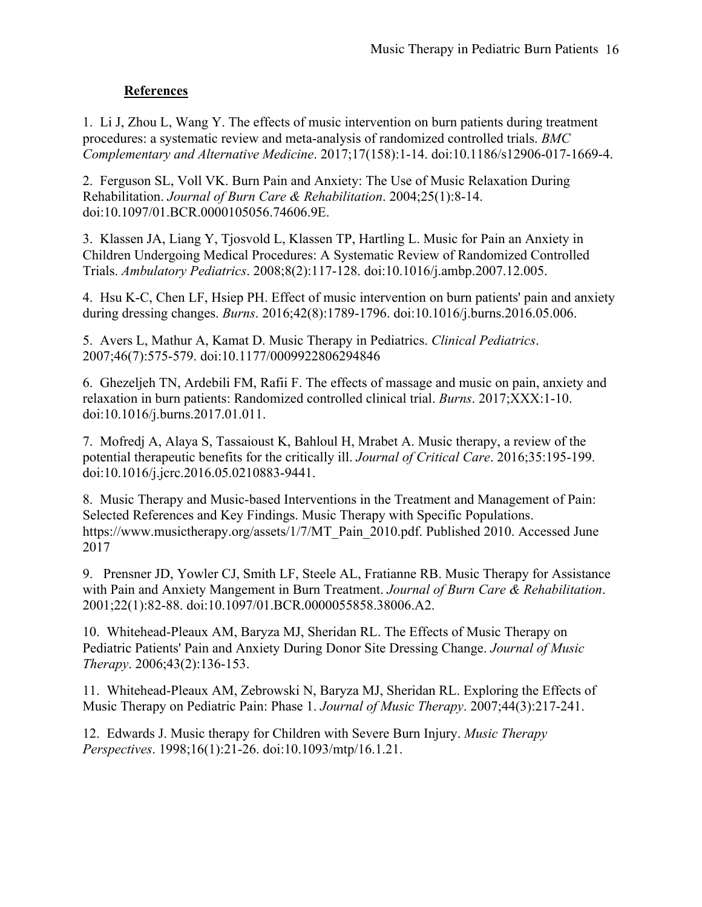## **References**

1. Li J, Zhou L, Wang Y. The effects of music intervention on burn patients during treatment procedures: a systematic review and meta-analysis of randomized controlled trials. *BMC Complementary and Alternative Medicine*. 2017;17(158):1-14. doi:10.1186/s12906-017-1669-4.

2. Ferguson SL, Voll VK. Burn Pain and Anxiety: The Use of Music Relaxation During Rehabilitation. *Journal of Burn Care & Rehabilitation*. 2004;25(1):8-14. doi:10.1097/01.BCR.0000105056.74606.9E.

3. Klassen JA, Liang Y, Tjosvold L, Klassen TP, Hartling L. Music for Pain an Anxiety in Children Undergoing Medical Procedures: A Systematic Review of Randomized Controlled Trials. *Ambulatory Pediatrics*. 2008;8(2):117-128. doi:10.1016/j.ambp.2007.12.005.

4. Hsu K-C, Chen LF, Hsiep PH. Effect of music intervention on burn patients' pain and anxiety during dressing changes. *Burns*. 2016;42(8):1789-1796. doi:10.1016/j.burns.2016.05.006.

5. Avers L, Mathur A, Kamat D. Music Therapy in Pediatrics. *Clinical Pediatrics*. 2007;46(7):575-579. doi:10.1177/0009922806294846

6. Ghezeljeh TN, Ardebili FM, Rafii F. The effects of massage and music on pain, anxiety and relaxation in burn patients: Randomized controlled clinical trial. *Burns*. 2017;XXX:1-10. doi:10.1016/j.burns.2017.01.011.

7. Mofredj A, Alaya S, Tassaioust K, Bahloul H, Mrabet A. Music therapy, a review of the potential therapeutic benefits for the critically ill. *Journal of Critical Care*. 2016;35:195-199. doi:10.1016/j.jcrc.2016.05.0210883-9441.

8. Music Therapy and Music-based Interventions in the Treatment and Management of Pain: Selected References and Key Findings. Music Therapy with Specific Populations. https://www.musictherapy.org/assets/1/7/MT\_Pain\_2010.pdf. Published 2010. Accessed June 2017

9. Prensner JD, Yowler CJ, Smith LF, Steele AL, Fratianne RB. Music Therapy for Assistance with Pain and Anxiety Mangement in Burn Treatment. *Journal of Burn Care & Rehabilitation*. 2001;22(1):82-88. doi:10.1097/01.BCR.0000055858.38006.A2.

10. Whitehead-Pleaux AM, Baryza MJ, Sheridan RL. The Effects of Music Therapy on Pediatric Patients' Pain and Anxiety During Donor Site Dressing Change. *Journal of Music Therapy*. 2006;43(2):136-153.

11. Whitehead-Pleaux AM, Zebrowski N, Baryza MJ, Sheridan RL. Exploring the Effects of Music Therapy on Pediatric Pain: Phase 1. *Journal of Music Therapy*. 2007;44(3):217-241.

12. Edwards J. Music therapy for Children with Severe Burn Injury. *Music Therapy Perspectives*. 1998;16(1):21-26. doi:10.1093/mtp/16.1.21.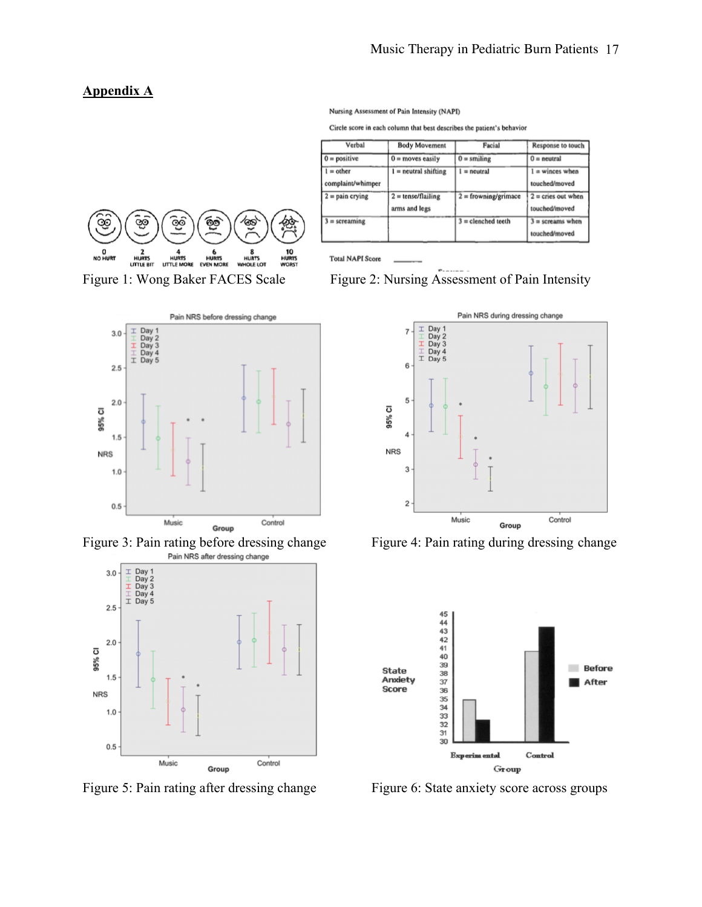#### **Appendix A**



| Verbal                           | <b>Body Movement</b>                  | Facial                        | Response to touch                     |
|----------------------------------|---------------------------------------|-------------------------------|---------------------------------------|
| $0 = positive$                   | $0 =$ moves easily                    | $0 =$ smiling                 | $0 =$ neutral                         |
| $l = other$<br>complaint/whimper | $l = neutral shifting$                | $l = neutral$                 | $=$ winces when<br>touched/moved      |
| $2 = \text{pain}$ crying         | $2 =$ tense/flailing<br>arms and legs | $2 = \text{frowning/grimace}$ | $2 =$ cries out when<br>touched/moved |
| $=$ screaming                    |                                       | $3 =$ clenched teeth          | $3$ = screams when<br>touched/moved   |



Figure 3: Pain rating before dressing change Figure 4: Pain rating during dressing change<br>Pain NRS after dressing change



Figure 5: Pain rating after dressing change Figure 6: State anxiety score across groups

**Total NAPI Score** 

Nursing Assessment of Pain Intensity (NAPI)